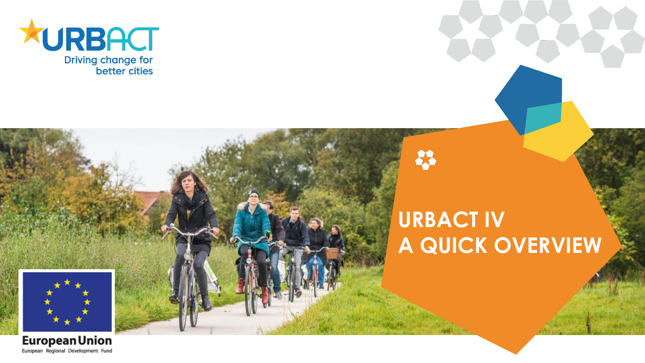

### **URBACT IV A QUICK OVERVIEW**

×



**European Union** European Regional Development Fund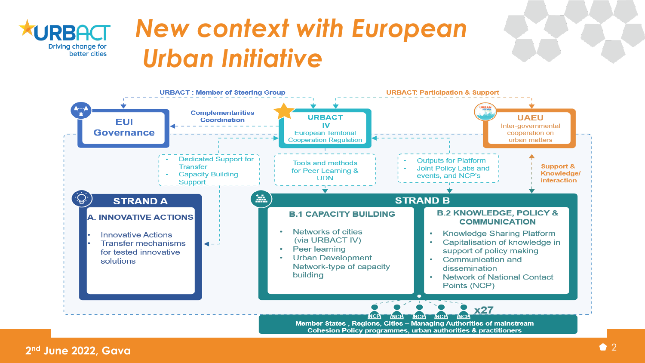

## *New context with European Urban Initiative*

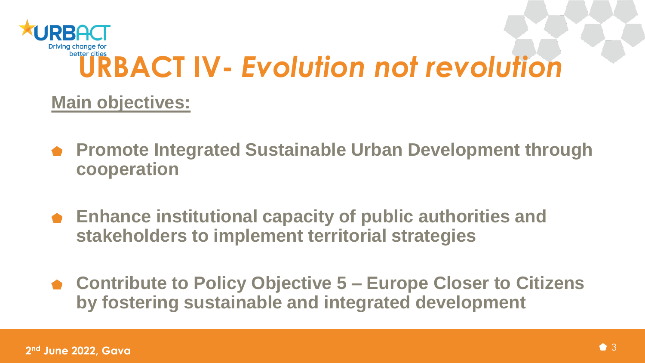

#### **Main objectives:**

- **Promote Integrated Sustainable Urban Development through cooperation**
- **Enhance institutional capacity of public authorities and stakeholders to implement territorial strategies**
- **Contribute to Policy Objective 5 – Europe Closer to Citizens by fostering sustainable and integrated development**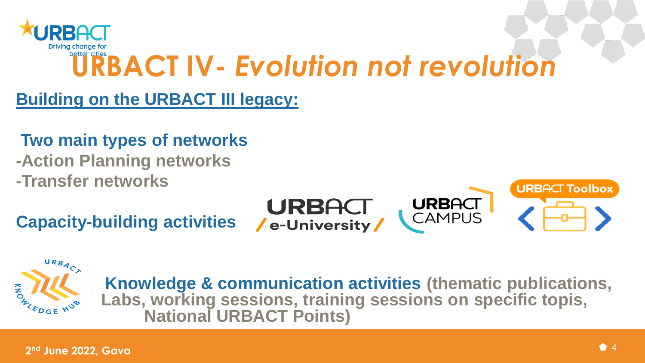

**Building on the URBACT III legacy:** 

**Two main types of networks**

**-Action Planning networks -Transfer networks**

**Capacity-building activities**







**Knowledge & communication activities (thematic publications, Labs, working sessions, training sessions on specific topis, National URBACT Points)**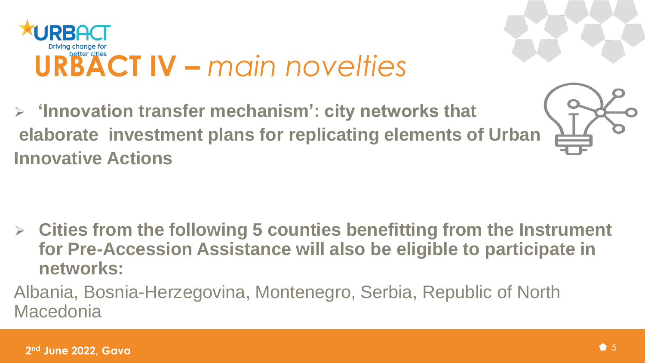

 **'Innovation transfer mechanism': city networks that elaborate investment plans for replicating elements of Urban Innovative Actions**



- **Cities from the following 5 counties benefitting from the Instrument for Pre-Accession Assistance will also be eligible to participate in networks:**
- Albania, Bosnia-Herzegovina, Montenegro, Serbia, Republic of North Macedonia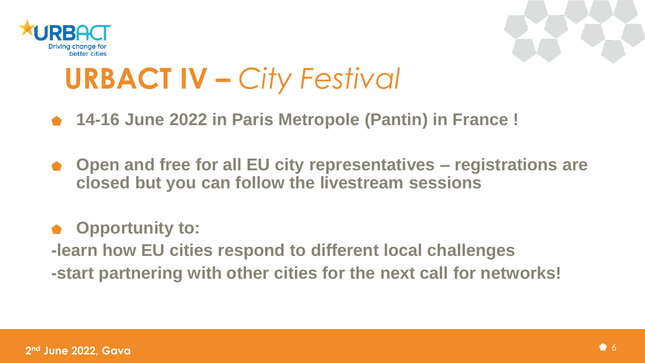



# **URBACT IV –** *City Festival*

- **14-16 June 2022 in Paris Metropole (Pantin) in France !**
- **Open and free for all EU city representatives – registrations are closed but you can follow the livestream sessions**

#### **Opportunity to:**

**-learn how EU cities respond to different local challenges -start partnering with other cities for the next call for networks!**